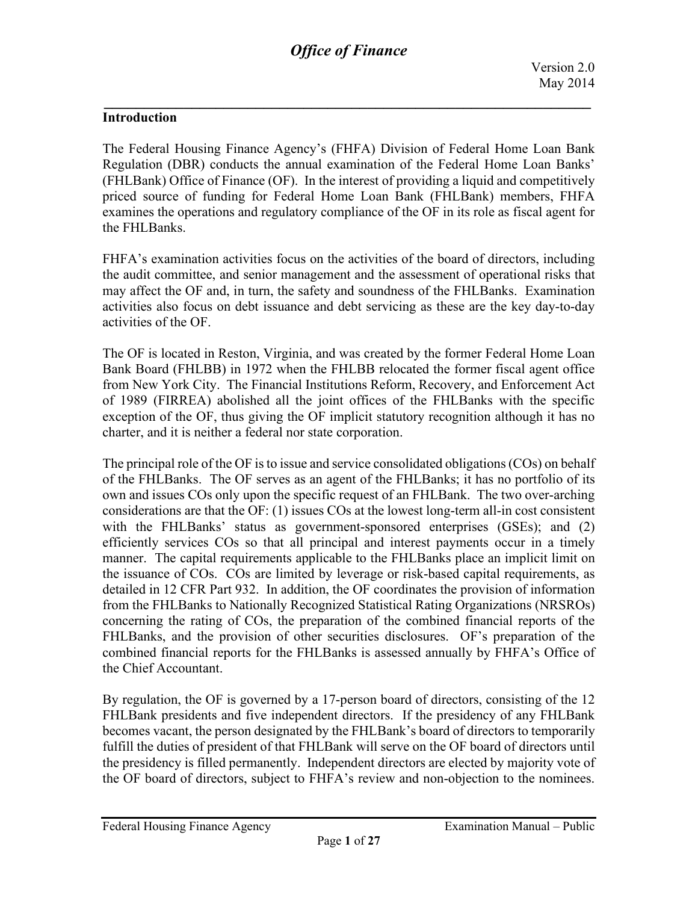#### **Introduction**

The Federal Housing Finance Agency's (FHFA) Division of Federal Home Loan Bank Regulation (DBR) conducts the annual examination of the Federal Home Loan Banks' (FHLBank) Office of Finance (OF). In the interest of providing a liquid and competitively priced source of funding for Federal Home Loan Bank (FHLBank) members, FHFA examines the operations and regulatory compliance of the OF in its role as fiscal agent for the FHLBanks.

FHFA's examination activities focus on the activities of the board of directors, including the audit committee, and senior management and the assessment of operational risks that may affect the OF and, in turn, the safety and soundness of the FHLBanks. Examination activities also focus on debt issuance and debt servicing as these are the key day-to-day activities of the OF.

The OF is located in Reston, Virginia, and was created by the former Federal Home Loan Bank Board (FHLBB) in 1972 when the FHLBB relocated the former fiscal agent office from New York City. The Financial Institutions Reform, Recovery, and Enforcement Act of 1989 (FIRREA) abolished all the joint offices of the FHLBanks with the specific exception of the OF, thus giving the OF implicit statutory recognition although it has no charter, and it is neither a federal nor state corporation.

The principal role of the OF is to issue and service consolidated obligations (COs) on behalf of the FHLBanks. The OF serves as an agent of the FHLBanks; it has no portfolio of its own and issues COs only upon the specific request of an FHLBank. The two over-arching considerations are that the OF: (1) issues COs at the lowest long-term all-in cost consistent with the FHLBanks' status as government-sponsored enterprises (GSEs); and (2) efficiently services COs so that all principal and interest payments occur in a timely manner. The capital requirements applicable to the FHLBanks place an implicit limit on the issuance of COs. COs are limited by leverage or risk-based capital requirements, as detailed in 12 CFR Part 932. In addition, the OF coordinates the provision of information from the FHLBanks to Nationally Recognized Statistical Rating Organizations (NRSROs) concerning the rating of COs, the preparation of the combined financial reports of the FHLBanks, and the provision of other securities disclosures. OF's preparation of the combined financial reports for the FHLBanks is assessed annually by FHFA's Office of the Chief Accountant.

By regulation, the OF is governed by a 17-person board of directors, consisting of the 12 FHLBank presidents and five independent directors. If the presidency of any FHLBank becomes vacant, the person designated by the FHLBank's board of directors to temporarily fulfill the duties of president of that FHLBank will serve on the OF board of directors until the presidency is filled permanently. Independent directors are elected by majority vote of the OF board of directors, subject to FHFA's review and non-objection to the nominees.

Page **1** of **27**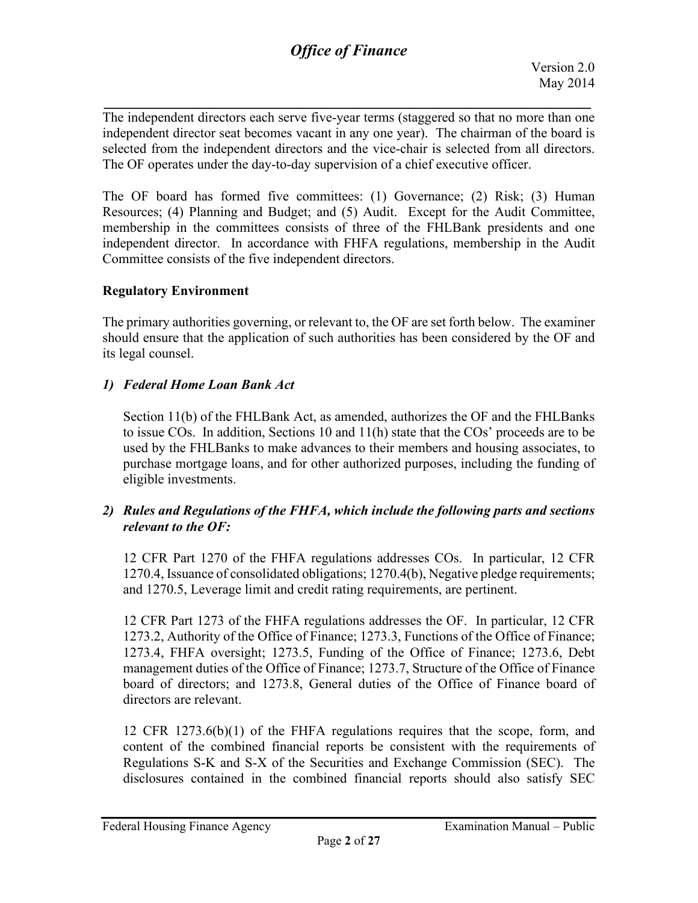*\_\_\_\_\_\_\_\_\_\_\_\_\_\_\_\_\_\_\_\_\_\_\_\_\_\_\_\_\_\_\_\_\_\_\_\_\_\_\_\_\_\_\_\_\_\_\_\_\_\_\_\_\_\_\_\_\_\_\_\_\_* The independent directors each serve five-year terms (staggered so that no more than one independent director seat becomes vacant in any one year). The chairman of the board is selected from the independent directors and the vice-chair is selected from all directors. The OF operates under the day-to-day supervision of a chief executive officer.

The OF board has formed five committees: (1) Governance; (2) Risk; (3) Human Resources; (4) Planning and Budget; and (5) Audit. Except for the Audit Committee, membership in the committees consists of three of the FHLBank presidents and one independent director. In accordance with FHFA regulations, membership in the Audit Committee consists of the five independent directors.

### **Regulatory Environment**

The primary authorities governing, or relevant to, the OF are set forth below. The examiner should ensure that the application of such authorities has been considered by the OF and its legal counsel.

#### *1) Federal Home Loan Bank Act*

Section 11(b) of the FHLBank Act, as amended, authorizes the OF and the FHLBanks to issue COs. In addition, Sections 10 and 11(h) state that the COs' proceeds are to be used by the FHLBanks to make advances to their members and housing associates, to purchase mortgage loans, and for other authorized purposes, including the funding of eligible investments.

### *2) Rules and Regulations of the FHFA, which include the following parts and sections relevant to the OF:*

12 CFR Part 1270 of the FHFA regulations addresses COs. In particular, 12 CFR 1270.4, Issuance of consolidated obligations; 1270.4(b), Negative pledge requirements; and 1270.5, Leverage limit and credit rating requirements, are pertinent.

12 CFR Part 1273 of the FHFA regulations addresses the OF. In particular, 12 CFR 1273.2, Authority of the Office of Finance; 1273.3, Functions of the Office of Finance; 1273.4, FHFA oversight; 1273.5, Funding of the Office of Finance; 1273.6, Debt management duties of the Office of Finance; 1273.7, Structure of the Office of Finance board of directors; and 1273.8, General duties of the Office of Finance board of directors are relevant.

12 CFR 1273.6(b)(1) of the FHFA regulations requires that the scope, form, and content of the combined financial reports be consistent with the requirements of Regulations S-K and S-X of the Securities and Exchange Commission (SEC). The disclosures contained in the combined financial reports should also satisfy SEC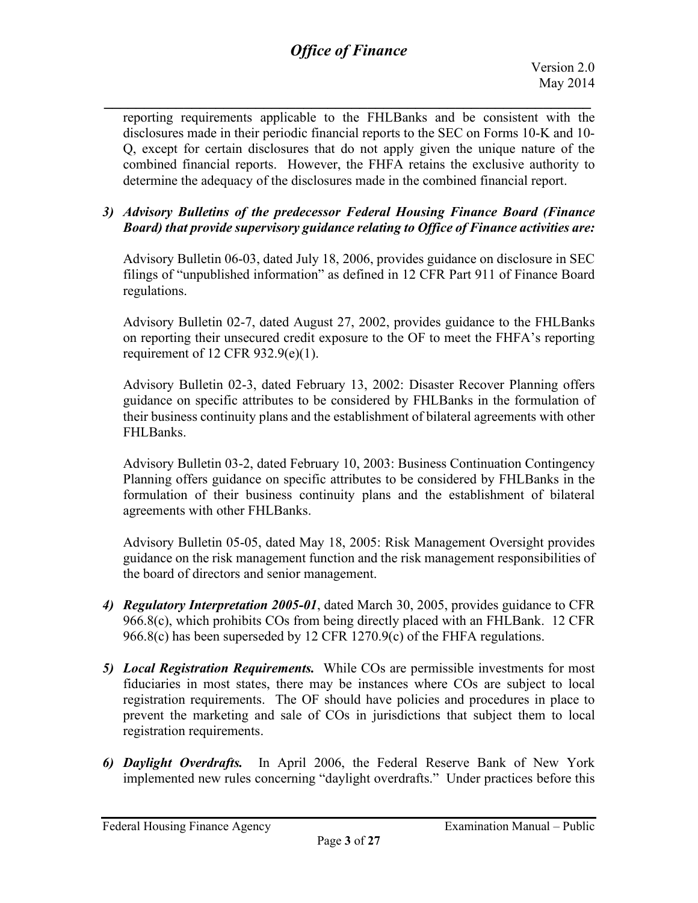*\_\_\_\_\_\_\_\_\_\_\_\_\_\_\_\_\_\_\_\_\_\_\_\_\_\_\_\_\_\_\_\_\_\_\_\_\_\_\_\_\_\_\_\_\_\_\_\_\_\_\_\_\_\_\_\_\_\_\_\_\_* reporting requirements applicable to the FHLBanks and be consistent with the disclosures made in their periodic financial reports to the SEC on Forms 10-K and 10- Q, except for certain disclosures that do not apply given the unique nature of the combined financial reports. However, the FHFA retains the exclusive authority to determine the adequacy of the disclosures made in the combined financial report.

### *3) Advisory Bulletins of the predecessor Federal Housing Finance Board (Finance Board) that provide supervisory guidance relating to Office of Finance activities are:*

Advisory Bulletin 06-03, dated July 18, 2006, provides guidance on disclosure in SEC filings of "unpublished information" as defined in 12 CFR Part 911 of Finance Board regulations.

Advisory Bulletin 02-7, dated August 27, 2002, provides guidance to the FHLBanks on reporting their unsecured credit exposure to the OF to meet the FHFA's reporting requirement of 12 CFR  $932.9(e)(1)$ .

Advisory Bulletin 02-3, dated February 13, 2002: Disaster Recover Planning offers guidance on specific attributes to be considered by FHLBanks in the formulation of their business continuity plans and the establishment of bilateral agreements with other FHLBanks.

Advisory Bulletin 03-2, dated February 10, 2003: Business Continuation Contingency Planning offers guidance on specific attributes to be considered by FHLBanks in the formulation of their business continuity plans and the establishment of bilateral agreements with other FHLBanks.

Advisory Bulletin 05-05, dated May 18, 2005: Risk Management Oversight provides guidance on the risk management function and the risk management responsibilities of the board of directors and senior management.

- *4) Regulatory Interpretation 2005-01*, dated March 30, 2005, provides guidance to CFR 966.8(c), which prohibits COs from being directly placed with an FHLBank. 12 CFR 966.8(c) has been superseded by 12 CFR 1270.9(c) of the FHFA regulations.
- *5) Local Registration Requirements.* While COs are permissible investments for most fiduciaries in most states, there may be instances where COs are subject to local registration requirements. The OF should have policies and procedures in place to prevent the marketing and sale of COs in jurisdictions that subject them to local registration requirements.
- *6) Daylight Overdrafts.* In April 2006, the Federal Reserve Bank of New York implemented new rules concerning "daylight overdrafts." Under practices before this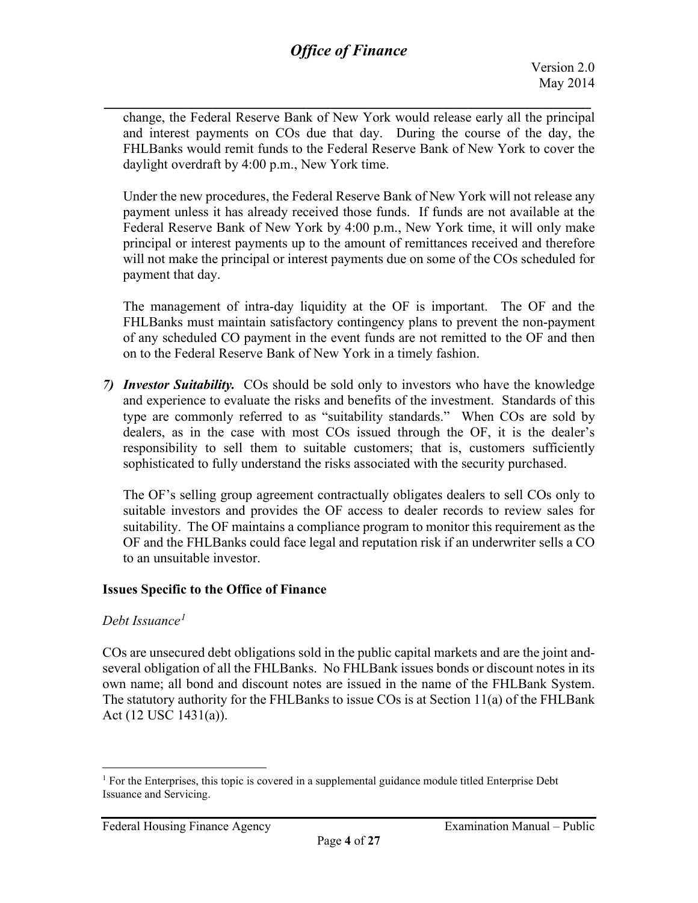*\_\_\_\_\_\_\_\_\_\_\_\_\_\_\_\_\_\_\_\_\_\_\_\_\_\_\_\_\_\_\_\_\_\_\_\_\_\_\_\_\_\_\_\_\_\_\_\_\_\_\_\_\_\_\_\_\_\_\_\_\_* change, the Federal Reserve Bank of New York would release early all the principal and interest payments on COs due that day. During the course of the day, the FHLBanks would remit funds to the Federal Reserve Bank of New York to cover the daylight overdraft by 4:00 p.m., New York time.

Under the new procedures, the Federal Reserve Bank of New York will not release any payment unless it has already received those funds. If funds are not available at the Federal Reserve Bank of New York by 4:00 p.m., New York time, it will only make principal or interest payments up to the amount of remittances received and therefore will not make the principal or interest payments due on some of the COs scheduled for payment that day.

The management of intra-day liquidity at the OF is important. The OF and the FHLBanks must maintain satisfactory contingency plans to prevent the non-payment of any scheduled CO payment in the event funds are not remitted to the OF and then on to the Federal Reserve Bank of New York in a timely fashion.

*7) Investor Suitability.* COs should be sold only to investors who have the knowledge and experience to evaluate the risks and benefits of the investment. Standards of this type are commonly referred to as "suitability standards." When COs are sold by dealers, as in the case with most COs issued through the OF, it is the dealer's responsibility to sell them to suitable customers; that is, customers sufficiently sophisticated to fully understand the risks associated with the security purchased.

The OF's selling group agreement contractually obligates dealers to sell COs only to suitable investors and provides the OF access to dealer records to review sales for suitability. The OF maintains a compliance program to monitor this requirement as the OF and the FHLBanks could face legal and reputation risk if an underwriter sells a CO to an unsuitable investor.

#### **Issues Specific to the Office of Finance**

#### *Debt Issuance[1](#page-3-0)*

COs are unsecured debt obligations sold in the public capital markets and are the joint andseveral obligation of all the FHLBanks. No FHLBank issues bonds or discount notes in its own name; all bond and discount notes are issued in the name of the FHLBank System. The statutory authority for the FHLBanks to issue COs is at Section 11(a) of the FHLBank Act (12 USC 1431(a)).

<span id="page-3-0"></span> $<sup>1</sup>$  For the Enterprises, this topic is covered in a supplemental guidance module titled Enterprise Debt</sup> Issuance and Servicing.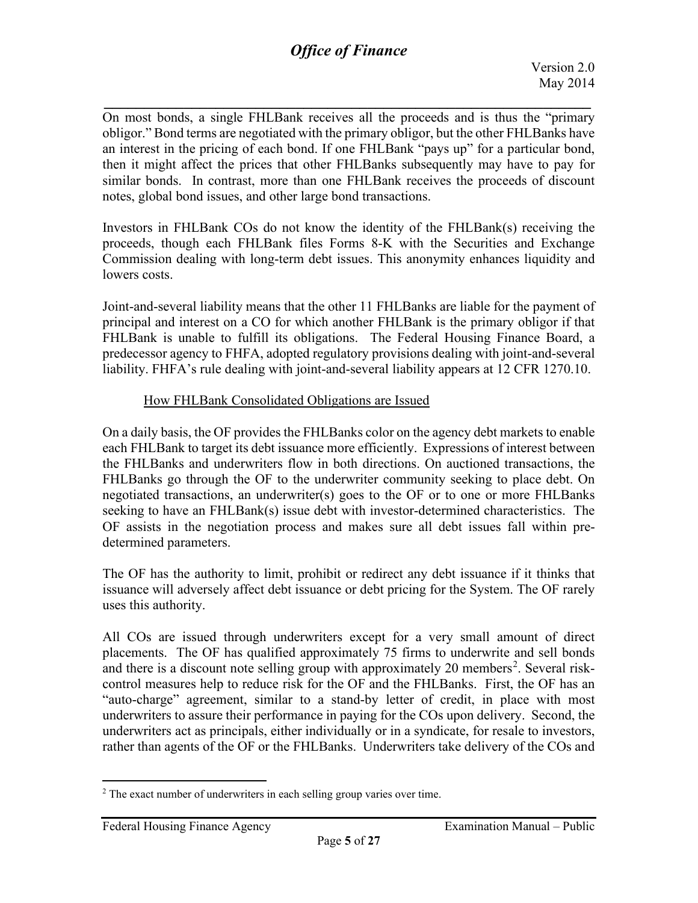*\_\_\_\_\_\_\_\_\_\_\_\_\_\_\_\_\_\_\_\_\_\_\_\_\_\_\_\_\_\_\_\_\_\_\_\_\_\_\_\_\_\_\_\_\_\_\_\_\_\_\_\_\_\_\_\_\_\_\_\_\_* On most bonds, a single FHLBank receives all the proceeds and is thus the "primary obligor." Bond terms are negotiated with the primary obligor, but the other FHLBanks have an interest in the pricing of each bond. If one FHLBank "pays up" for a particular bond, then it might affect the prices that other FHLBanks subsequently may have to pay for similar bonds. In contrast, more than one FHLBank receives the proceeds of discount notes, global bond issues, and other large bond transactions.

Investors in FHLBank COs do not know the identity of the FHLBank(s) receiving the proceeds, though each FHLBank files Forms 8-K with the Securities and Exchange Commission dealing with long-term debt issues. This anonymity enhances liquidity and lowers costs.

Joint-and-several liability means that the other 11 FHLBanks are liable for the payment of principal and interest on a CO for which another FHLBank is the primary obligor if that FHLBank is unable to fulfill its obligations. The Federal Housing Finance Board, a predecessor agency to FHFA, adopted regulatory provisions dealing with joint-and-several liability. FHFA's rule dealing with joint-and-several liability appears at 12 CFR 1270.10.

### How FHLBank Consolidated Obligations are Issued

On a daily basis, the OF provides the FHLBanks color on the agency debt markets to enable each FHLBank to target its debt issuance more efficiently. Expressions of interest between the FHLBanks and underwriters flow in both directions. On auctioned transactions, the FHLBanks go through the OF to the underwriter community seeking to place debt. On negotiated transactions, an underwriter(s) goes to the OF or to one or more FHLBanks seeking to have an FHLBank(s) issue debt with investor-determined characteristics. The OF assists in the negotiation process and makes sure all debt issues fall within predetermined parameters.

The OF has the authority to limit, prohibit or redirect any debt issuance if it thinks that issuance will adversely affect debt issuance or debt pricing for the System. The OF rarely uses this authority.

All COs are issued through underwriters except for a very small amount of direct placements. The OF has qualified approximately 75 firms to underwrite and sell bonds and there is a discount note selling group with approximately [2](#page-4-0)0 members<sup>2</sup>. Several riskcontrol measures help to reduce risk for the OF and the FHLBanks. First, the OF has an "auto-charge" agreement, similar to a stand-by letter of credit, in place with most underwriters to assure their performance in paying for the COs upon delivery. Second, the underwriters act as principals, either individually or in a syndicate, for resale to investors, rather than agents of the OF or the FHLBanks. Underwriters take delivery of the COs and

<span id="page-4-0"></span> $2$  The exact number of underwriters in each selling group varies over time.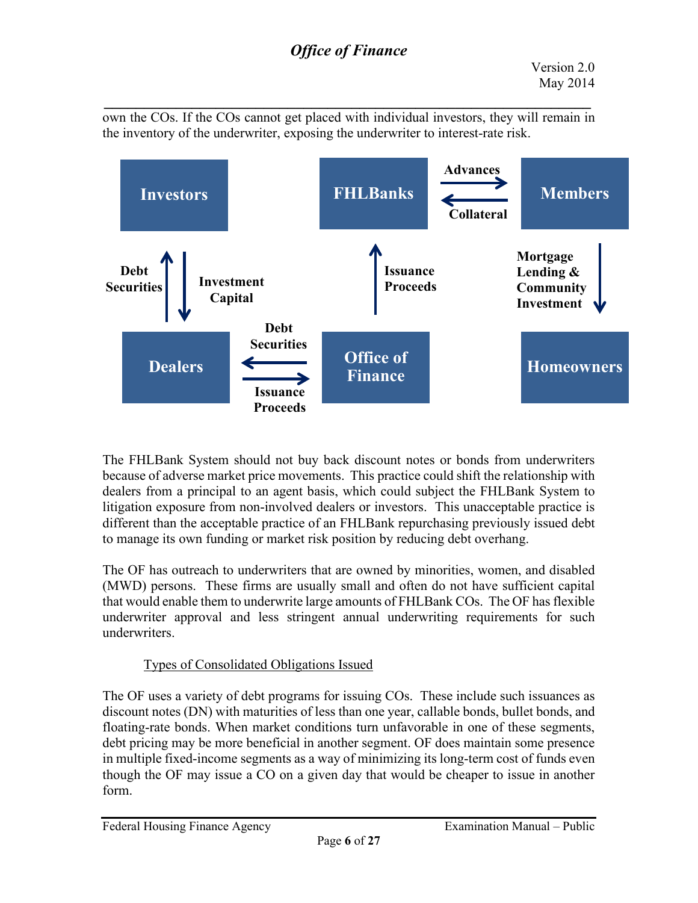*\_\_\_\_\_\_\_\_\_\_\_\_\_\_\_\_\_\_\_\_\_\_\_\_\_\_\_\_\_\_\_\_\_\_\_\_\_\_\_\_\_\_\_\_\_\_\_\_\_\_\_\_\_\_\_\_\_\_\_\_\_* own the COs. If the COs cannot get placed with individual investors, they will remain in the inventory of the underwriter, exposing the underwriter to interest-rate risk.



The FHLBank System should not buy back discount notes or bonds from underwriters because of adverse market price movements. This practice could shift the relationship with dealers from a principal to an agent basis, which could subject the FHLBank System to litigation exposure from non-involved dealers or investors. This unacceptable practice is different than the acceptable practice of an FHLBank repurchasing previously issued debt to manage its own funding or market risk position by reducing debt overhang.

The OF has outreach to underwriters that are owned by minorities, women, and disabled (MWD) persons. These firms are usually small and often do not have sufficient capital that would enable them to underwrite large amounts of FHLBank COs. The OF has flexible underwriter approval and less stringent annual underwriting requirements for such underwriters.

## Types of Consolidated Obligations Issued

The OF uses a variety of debt programs for issuing COs. These include such issuances as discount notes (DN) with maturities of less than one year, callable bonds, bullet bonds, and floating-rate bonds. When market conditions turn unfavorable in one of these segments, debt pricing may be more beneficial in another segment. OF does maintain some presence in multiple fixed-income segments as a way of minimizing its long-term cost of funds even though the OF may issue a CO on a given day that would be cheaper to issue in another form.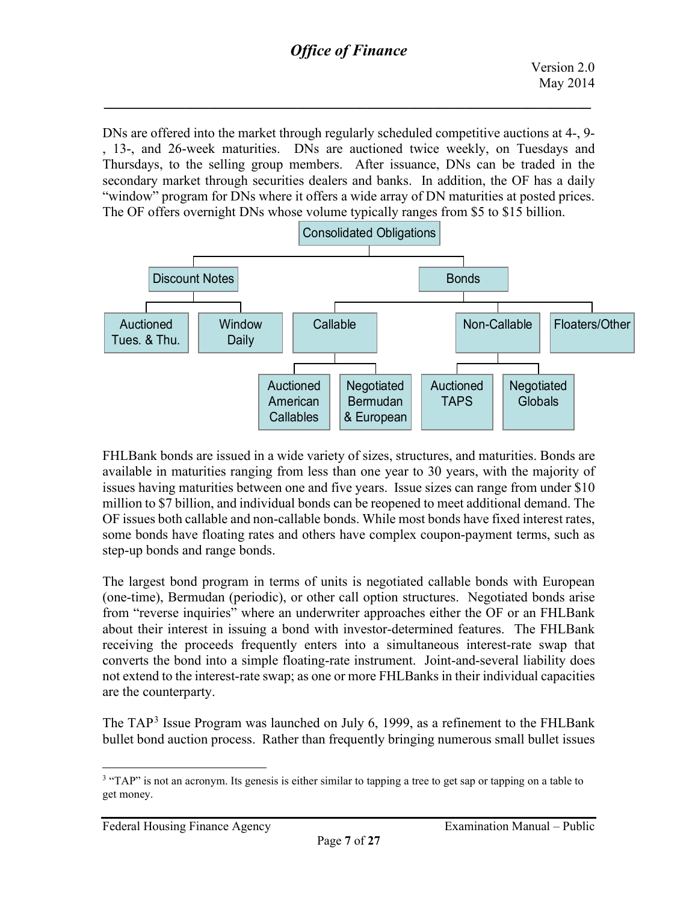DNs are offered into the market through regularly scheduled competitive auctions at 4-, 9- , 13-, and 26-week maturities. DNs are auctioned twice weekly, on Tuesdays and Thursdays, to the selling group members. After issuance, DNs can be traded in the secondary market through securities dealers and banks. In addition, the OF has a daily "window" program for DNs where it offers a wide array of DN maturities at posted prices. The OF offers overnight DNs whose volume typically ranges from \$5 to \$15 billion.



FHLBank bonds are issued in a wide variety of sizes, structures, and maturities. Bonds are available in maturities ranging from less than one year to 30 years, with the majority of issues having maturities between one and five years. Issue sizes can range from under \$10 million to \$7 billion, and individual bonds can be reopened to meet additional demand. The OF issues both callable and non-callable bonds. While most bonds have fixed interest rates, some bonds have floating rates and others have complex coupon-payment terms, such as step-up bonds and range bonds.

The largest bond program in terms of units is negotiated callable bonds with European (one-time), Bermudan (periodic), or other call option structures. Negotiated bonds arise from "reverse inquiries" where an underwriter approaches either the OF or an FHLBank about their interest in issuing a bond with investor-determined features. The FHLBank receiving the proceeds frequently enters into a simultaneous interest-rate swap that converts the bond into a simple floating-rate instrument. Joint-and-several liability does not extend to the interest-rate swap; as one or more FHLBanks in their individual capacities are the counterparty.

The TAP<sup>[3](#page-6-0)</sup> Issue Program was launched on July 6, 1999, as a refinement to the FHLBank bullet bond auction process. Rather than frequently bringing numerous small bullet issues

<span id="page-6-0"></span><sup>&</sup>lt;sup>3</sup> "TAP" is not an acronym. Its genesis is either similar to tapping a tree to get sap or tapping on a table to get money.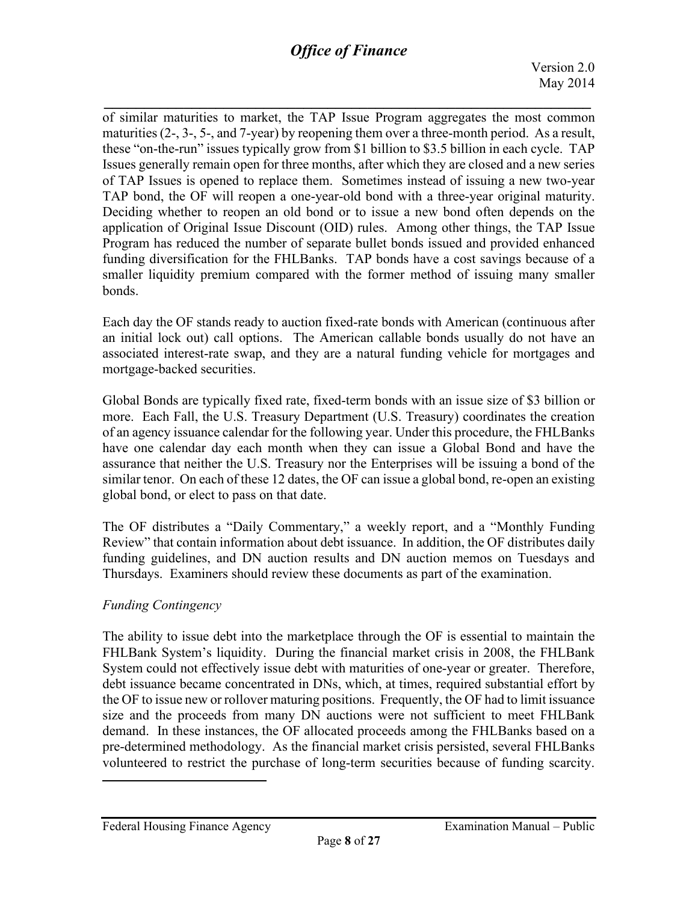*\_\_\_\_\_\_\_\_\_\_\_\_\_\_\_\_\_\_\_\_\_\_\_\_\_\_\_\_\_\_\_\_\_\_\_\_\_\_\_\_\_\_\_\_\_\_\_\_\_\_\_\_\_\_\_\_\_\_\_\_\_* of similar maturities to market, the TAP Issue Program aggregates the most common maturities  $(2, 3, 5, 5, \text{ and } 7\text{-year})$  by reopening them over a three-month period. As a result, these "on-the-run" issues typically grow from \$1 billion to \$3.5 billion in each cycle. TAP Issues generally remain open for three months, after which they are closed and a new series of TAP Issues is opened to replace them. Sometimes instead of issuing a new two-year TAP bond, the OF will reopen a one-year-old bond with a three-year original maturity. Deciding whether to reopen an old bond or to issue a new bond often depends on the application of Original Issue Discount (OID) rules. Among other things, the TAP Issue Program has reduced the number of separate bullet bonds issued and provided enhanced funding diversification for the FHLBanks. TAP bonds have a cost savings because of a smaller liquidity premium compared with the former method of issuing many smaller bonds.

Each day the OF stands ready to auction fixed-rate bonds with American (continuous after an initial lock out) call options. The American callable bonds usually do not have an associated interest-rate swap, and they are a natural funding vehicle for mortgages and mortgage-backed securities.

Global Bonds are typically fixed rate, fixed-term bonds with an issue size of \$3 billion or more. Each Fall, the U.S. Treasury Department (U.S. Treasury) coordinates the creation of an agency issuance calendar for the following year. Under this procedure, the FHLBanks have one calendar day each month when they can issue a Global Bond and have the assurance that neither the U.S. Treasury nor the Enterprises will be issuing a bond of the similar tenor. On each of these 12 dates, the OF can issue a global bond, re-open an existing global bond, or elect to pass on that date.

The OF distributes a "Daily Commentary," a weekly report, and a "Monthly Funding Review" that contain information about debt issuance. In addition, the OF distributes daily funding guidelines, and DN auction results and DN auction memos on Tuesdays and Thursdays. Examiners should review these documents as part of the examination.

## *Funding Contingency*

The ability to issue debt into the marketplace through the OF is essential to maintain the FHLBank System's liquidity. During the financial market crisis in 2008, the FHLBank System could not effectively issue debt with maturities of one-year or greater. Therefore, debt issuance became concentrated in DNs, which, at times, required substantial effort by the OF to issue new or rollover maturing positions. Frequently, the OF had to limit issuance size and the proceeds from many DN auctions were not sufficient to meet FHLBank demand. In these instances, the OF allocated proceeds among the FHLBanks based on a pre-determined methodology. As the financial market crisis persisted, several FHLBanks volunteered to restrict the purchase of long-term securities because of funding scarcity.

Federal Housing Finance Agency **Examination Manual** – Public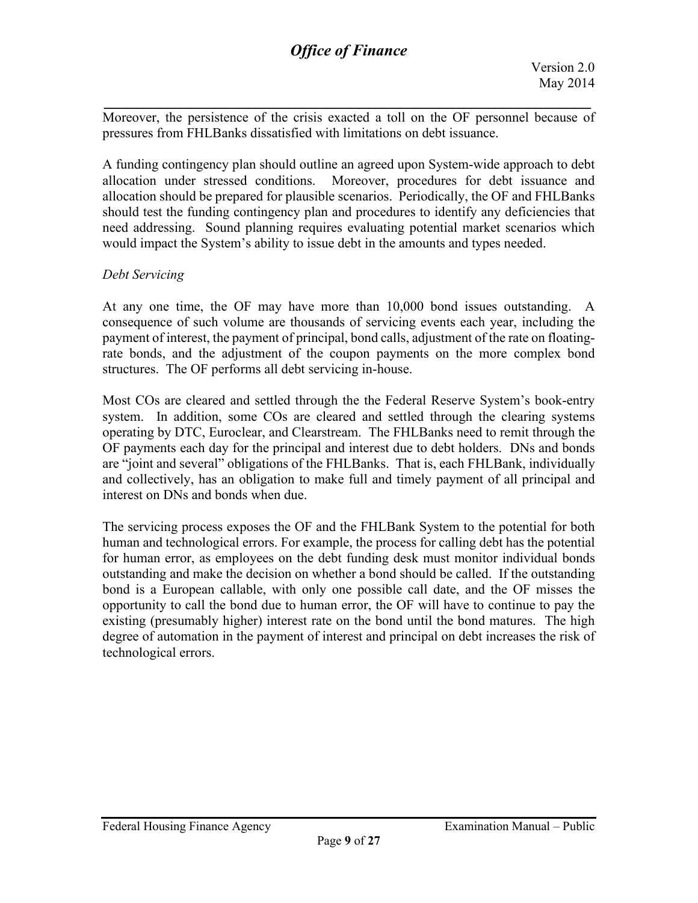Moreover, the persistence of the crisis exacted a toll on the OF personnel because of pressures from FHLBanks dissatisfied with limitations on debt issuance.

*\_\_\_\_\_\_\_\_\_\_\_\_\_\_\_\_\_\_\_\_\_\_\_\_\_\_\_\_\_\_\_\_\_\_\_\_\_\_\_\_\_\_\_\_\_\_\_\_\_\_\_\_\_\_\_\_\_\_\_\_\_*

A funding contingency plan should outline an agreed upon System-wide approach to debt allocation under stressed conditions. Moreover, procedures for debt issuance and allocation should be prepared for plausible scenarios. Periodically, the OF and FHLBanks should test the funding contingency plan and procedures to identify any deficiencies that need addressing. Sound planning requires evaluating potential market scenarios which would impact the System's ability to issue debt in the amounts and types needed.

### *Debt Servicing*

At any one time, the OF may have more than 10,000 bond issues outstanding. A consequence of such volume are thousands of servicing events each year, including the payment of interest, the payment of principal, bond calls, adjustment of the rate on floatingrate bonds, and the adjustment of the coupon payments on the more complex bond structures. The OF performs all debt servicing in-house.

Most COs are cleared and settled through the the Federal Reserve System's book-entry system. In addition, some COs are cleared and settled through the clearing systems operating by DTC, Euroclear, and Clearstream. The FHLBanks need to remit through the OF payments each day for the principal and interest due to debt holders. DNs and bonds are "joint and several" obligations of the FHLBanks. That is, each FHLBank, individually and collectively, has an obligation to make full and timely payment of all principal and interest on DNs and bonds when due.

The servicing process exposes the OF and the FHLBank System to the potential for both human and technological errors. For example, the process for calling debt has the potential for human error, as employees on the debt funding desk must monitor individual bonds outstanding and make the decision on whether a bond should be called. If the outstanding bond is a European callable, with only one possible call date, and the OF misses the opportunity to call the bond due to human error, the OF will have to continue to pay the existing (presumably higher) interest rate on the bond until the bond matures. The high degree of automation in the payment of interest and principal on debt increases the risk of technological errors.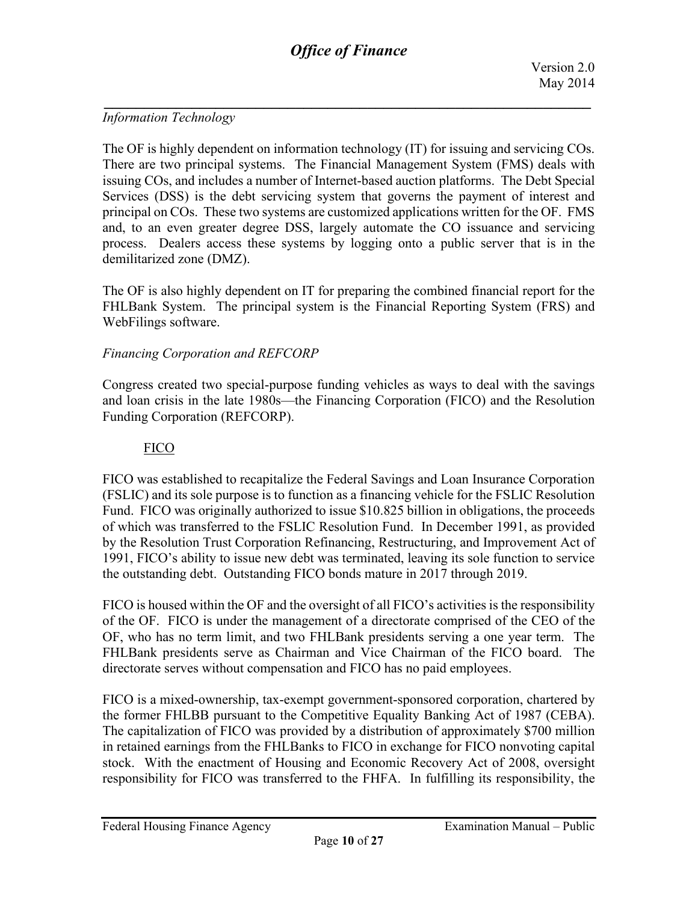## *Information Technology*

The OF is highly dependent on information technology (IT) for issuing and servicing COs. There are two principal systems. The Financial Management System (FMS) deals with issuing COs, and includes a number of Internet-based auction platforms. The Debt Special Services (DSS) is the debt servicing system that governs the payment of interest and principal on COs. These two systems are customized applications written for the OF. FMS and, to an even greater degree DSS, largely automate the CO issuance and servicing process. Dealers access these systems by logging onto a public server that is in the demilitarized zone (DMZ).

The OF is also highly dependent on IT for preparing the combined financial report for the FHLBank System. The principal system is the Financial Reporting System (FRS) and WebFilings software.

## *Financing Corporation and REFCORP*

Congress created two special-purpose funding vehicles as ways to deal with the savings and loan crisis in the late 1980s—the Financing Corporation (FICO) and the Resolution Funding Corporation (REFCORP).

### FICO

FICO was established to recapitalize the Federal Savings and Loan Insurance Corporation (FSLIC) and its sole purpose is to function as a financing vehicle for the FSLIC Resolution Fund. FICO was originally authorized to issue \$10.825 billion in obligations, the proceeds of which was transferred to the FSLIC Resolution Fund. In December 1991, as provided by the Resolution Trust Corporation Refinancing, Restructuring, and Improvement Act of 1991, FICO's ability to issue new debt was terminated, leaving its sole function to service the outstanding debt. Outstanding FICO bonds mature in 2017 through 2019.

FICO is housed within the OF and the oversight of all FICO's activities is the responsibility of the OF. FICO is under the management of a directorate comprised of the CEO of the OF, who has no term limit, and two FHLBank presidents serving a one year term. The FHLBank presidents serve as Chairman and Vice Chairman of the FICO board. The directorate serves without compensation and FICO has no paid employees.

FICO is a mixed-ownership, tax-exempt government-sponsored corporation, chartered by the former FHLBB pursuant to the Competitive Equality Banking Act of 1987 (CEBA). The capitalization of FICO was provided by a distribution of approximately \$700 million in retained earnings from the FHLBanks to FICO in exchange for FICO nonvoting capital stock. With the enactment of Housing and Economic Recovery Act of 2008, oversight responsibility for FICO was transferred to the FHFA. In fulfilling its responsibility, the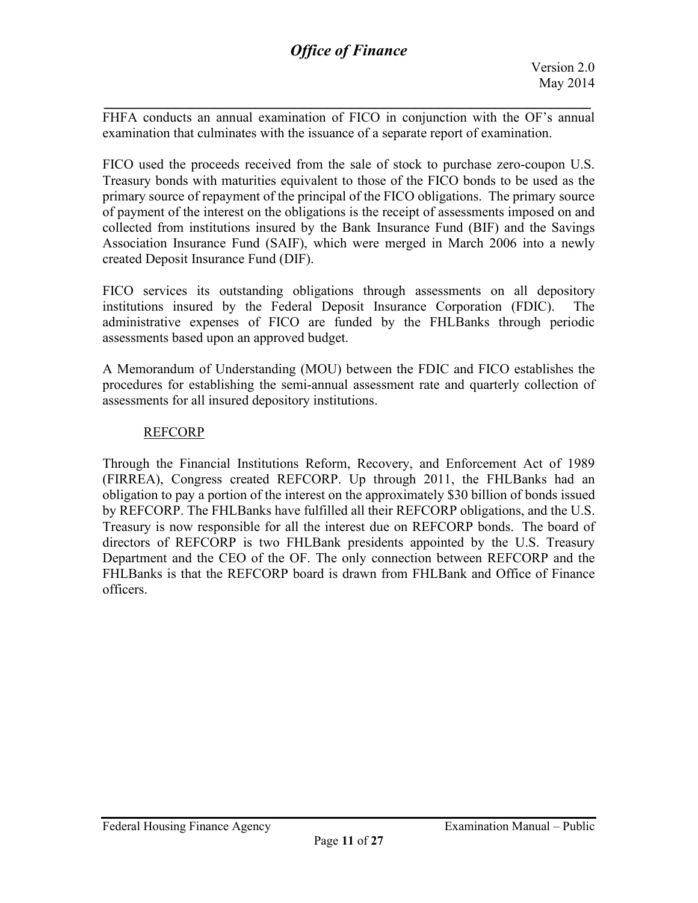FHFA conducts an annual examination of FICO in conjunction with the OF's annual examination that culminates with the issuance of a separate report of examination.

*\_\_\_\_\_\_\_\_\_\_\_\_\_\_\_\_\_\_\_\_\_\_\_\_\_\_\_\_\_\_\_\_\_\_\_\_\_\_\_\_\_\_\_\_\_\_\_\_\_\_\_\_\_\_\_\_\_\_\_\_\_*

FICO used the proceeds received from the sale of stock to purchase zero-coupon U.S. Treasury bonds with maturities equivalent to those of the FICO bonds to be used as the primary source of repayment of the principal of the FICO obligations. The primary source of payment of the interest on the obligations is the receipt of assessments imposed on and collected from institutions insured by the Bank Insurance Fund (BIF) and the Savings Association Insurance Fund (SAIF), which were merged in March 2006 into a newly created Deposit Insurance Fund (DIF).

FICO services its outstanding obligations through assessments on all depository institutions insured by the Federal Deposit Insurance Corporation (FDIC). The administrative expenses of FICO are funded by the FHLBanks through periodic assessments based upon an approved budget.

A Memorandum of Understanding (MOU) between the FDIC and FICO establishes the procedures for establishing the semi-annual assessment rate and quarterly collection of assessments for all insured depository institutions.

#### REFCORP

Through the Financial Institutions Reform, Recovery, and Enforcement Act of 1989 (FIRREA), Congress created REFCORP. Up through 2011, the FHLBanks had an obligation to pay a portion of the interest on the approximately \$30 billion of bonds issued by REFCORP. The FHLBanks have fulfilled all their REFCORP obligations, and the U.S. Treasury is now responsible for all the interest due on REFCORP bonds. The board of directors of REFCORP is two FHLBank presidents appointed by the U.S. Treasury Department and the CEO of the OF. The only connection between REFCORP and the FHLBanks is that the REFCORP board is drawn from FHLBank and Office of Finance officers.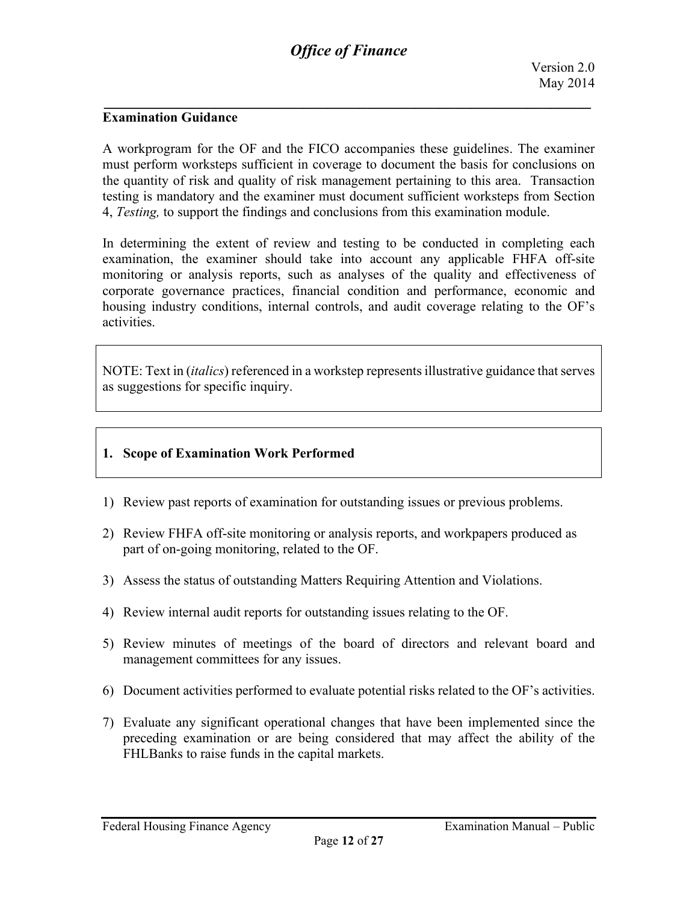#### **Examination Guidance**

A workprogram for the OF and the FICO accompanies these guidelines. The examiner must perform worksteps sufficient in coverage to document the basis for conclusions on the quantity of risk and quality of risk management pertaining to this area. Transaction testing is mandatory and the examiner must document sufficient worksteps from Section 4, *Testing,* to support the findings and conclusions from this examination module.

In determining the extent of review and testing to be conducted in completing each examination, the examiner should take into account any applicable FHFA off-site monitoring or analysis reports, such as analyses of the quality and effectiveness of corporate governance practices, financial condition and performance, economic and housing industry conditions, internal controls, and audit coverage relating to the OF's activities.

NOTE: Text in (*italics*) referenced in a workstep represents illustrative guidance that serves as suggestions for specific inquiry.

#### **1. Scope of Examination Work Performed**

- 1) Review past reports of examination for outstanding issues or previous problems.
- 2) Review FHFA off-site monitoring or analysis reports, and workpapers produced as part of on-going monitoring, related to the OF.
- 3) Assess the status of outstanding Matters Requiring Attention and Violations.
- 4) Review internal audit reports for outstanding issues relating to the OF.
- 5) Review minutes of meetings of the board of directors and relevant board and management committees for any issues.
- 6) Document activities performed to evaluate potential risks related to the OF's activities.
- 7) Evaluate any significant operational changes that have been implemented since the preceding examination or are being considered that may affect the ability of the FHLBanks to raise funds in the capital markets.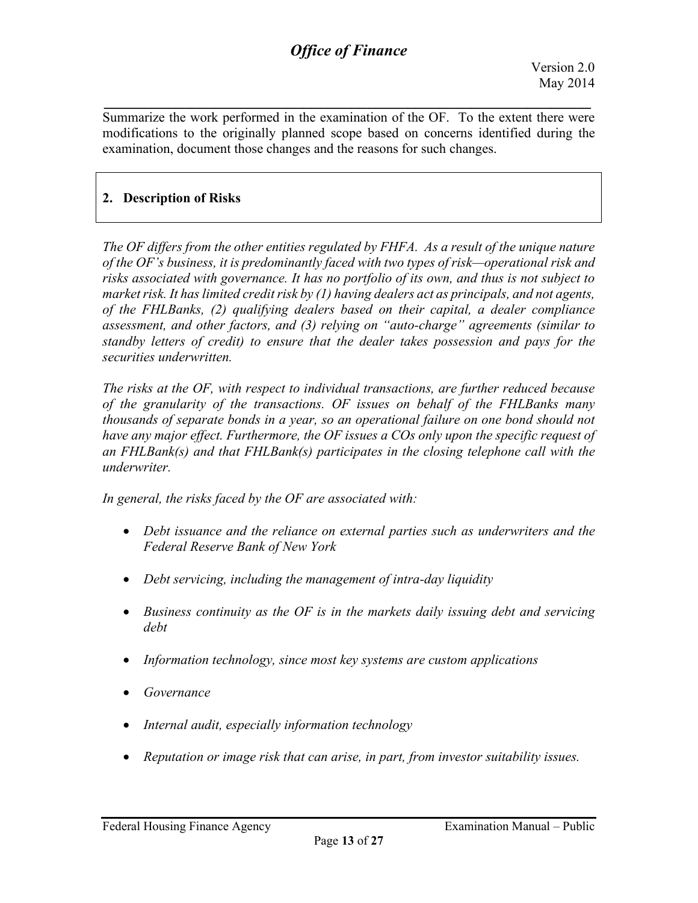Summarize the work performed in the examination of the OF. To the extent there were modifications to the originally planned scope based on concerns identified during the examination, document those changes and the reasons for such changes.

*\_\_\_\_\_\_\_\_\_\_\_\_\_\_\_\_\_\_\_\_\_\_\_\_\_\_\_\_\_\_\_\_\_\_\_\_\_\_\_\_\_\_\_\_\_\_\_\_\_\_\_\_\_\_\_\_\_\_\_\_\_*

## **2. Description of Risks**

*The OF differs from the other entities regulated by FHFA. As a result of the unique nature of the OF's business, it is predominantly faced with two types of risk—operational risk and risks associated with governance. It has no portfolio of its own, and thus is not subject to market risk. It has limited credit risk by (1) having dealers act as principals, and not agents, of the FHLBanks, (2) qualifying dealers based on their capital, a dealer compliance assessment, and other factors, and (3) relying on "auto-charge" agreements (similar to standby letters of credit) to ensure that the dealer takes possession and pays for the securities underwritten.* 

*The risks at the OF, with respect to individual transactions, are further reduced because of the granularity of the transactions. OF issues on behalf of the FHLBanks many thousands of separate bonds in a year, so an operational failure on one bond should not have any major effect. Furthermore, the OF issues a COs only upon the specific request of an FHLBank(s) and that FHLBank(s) participates in the closing telephone call with the underwriter.* 

*In general, the risks faced by the OF are associated with:*

- *Debt issuance and the reliance on external parties such as underwriters and the Federal Reserve Bank of New York*
- *Debt servicing, including the management of intra-day liquidity*
- *Business continuity as the OF is in the markets daily issuing debt and servicing debt*
- *Information technology, since most key systems are custom applications*
- *Governance*
- *Internal audit, especially information technology*
- *Reputation or image risk that can arise, in part, from investor suitability issues.*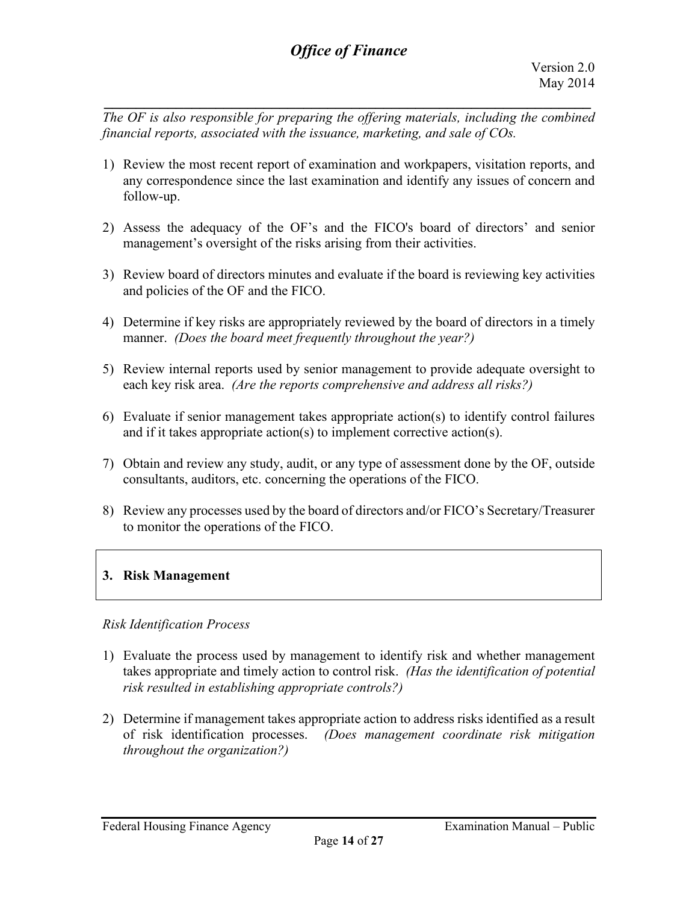*The OF is also responsible for preparing the offering materials, including the combined financial reports, associated with the issuance, marketing, and sale of COs.*

*\_\_\_\_\_\_\_\_\_\_\_\_\_\_\_\_\_\_\_\_\_\_\_\_\_\_\_\_\_\_\_\_\_\_\_\_\_\_\_\_\_\_\_\_\_\_\_\_\_\_\_\_\_\_\_\_\_\_\_\_\_*

- 1) Review the most recent report of examination and workpapers, visitation reports, and any correspondence since the last examination and identify any issues of concern and follow-up.
- 2) Assess the adequacy of the OF's and the FICO's board of directors' and senior management's oversight of the risks arising from their activities.
- 3) Review board of directors minutes and evaluate if the board is reviewing key activities and policies of the OF and the FICO.
- 4) Determine if key risks are appropriately reviewed by the board of directors in a timely manner. *(Does the board meet frequently throughout the year?)*
- 5) Review internal reports used by senior management to provide adequate oversight to each key risk area. *(Are the reports comprehensive and address all risks?)*
- 6) Evaluate if senior management takes appropriate action(s) to identify control failures and if it takes appropriate action(s) to implement corrective action(s).
- 7) Obtain and review any study, audit, or any type of assessment done by the OF, outside consultants, auditors, etc. concerning the operations of the FICO.
- 8) Review any processes used by the board of directors and/or FICO's Secretary/Treasurer to monitor the operations of the FICO.

## **3. Risk Management**

#### *Risk Identification Process*

- 1) Evaluate the process used by management to identify risk and whether management takes appropriate and timely action to control risk. *(Has the identification of potential risk resulted in establishing appropriate controls?)*
- 2) Determine if management takes appropriate action to address risks identified as a result of risk identification processes. *(Does management coordinate risk mitigation throughout the organization?)*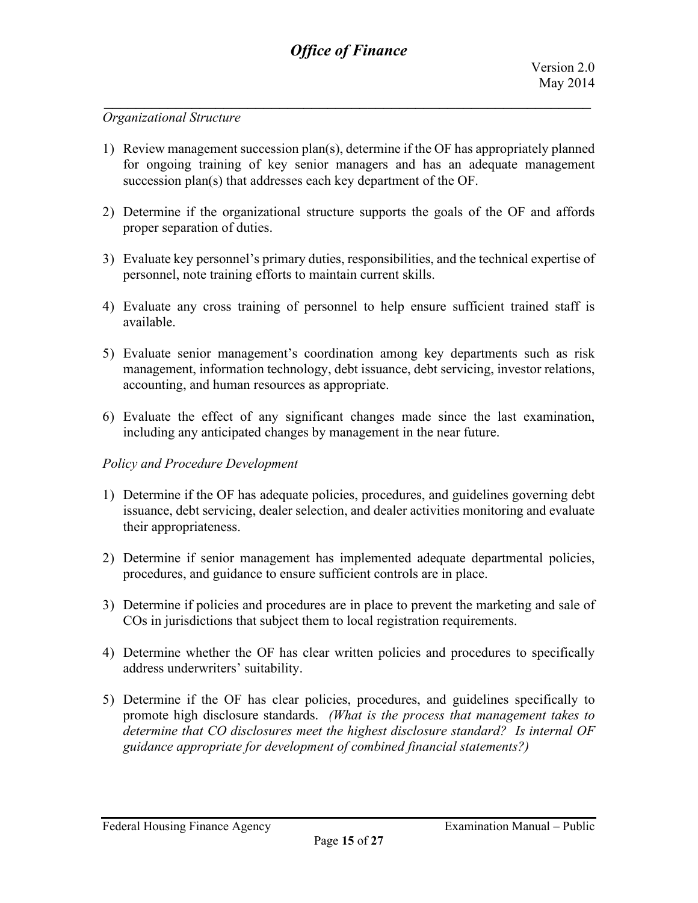#### *Organizational Structure*

- 1) Review management succession plan(s), determine if the OF has appropriately planned for ongoing training of key senior managers and has an adequate management succession plan(s) that addresses each key department of the OF.
- 2) Determine if the organizational structure supports the goals of the OF and affords proper separation of duties.
- 3) Evaluate key personnel's primary duties, responsibilities, and the technical expertise of personnel, note training efforts to maintain current skills.
- 4) Evaluate any cross training of personnel to help ensure sufficient trained staff is available.
- 5) Evaluate senior management's coordination among key departments such as risk management, information technology, debt issuance, debt servicing, investor relations, accounting, and human resources as appropriate.
- 6) Evaluate the effect of any significant changes made since the last examination, including any anticipated changes by management in the near future.

#### *Policy and Procedure Development*

- 1) Determine if the OF has adequate policies, procedures, and guidelines governing debt issuance, debt servicing, dealer selection, and dealer activities monitoring and evaluate their appropriateness.
- 2) Determine if senior management has implemented adequate departmental policies, procedures, and guidance to ensure sufficient controls are in place.
- 3) Determine if policies and procedures are in place to prevent the marketing and sale of COs in jurisdictions that subject them to local registration requirements.
- 4) Determine whether the OF has clear written policies and procedures to specifically address underwriters' suitability.
- 5) Determine if the OF has clear policies, procedures, and guidelines specifically to promote high disclosure standards. *(What is the process that management takes to determine that CO disclosures meet the highest disclosure standard? Is internal OF guidance appropriate for development of combined financial statements?)*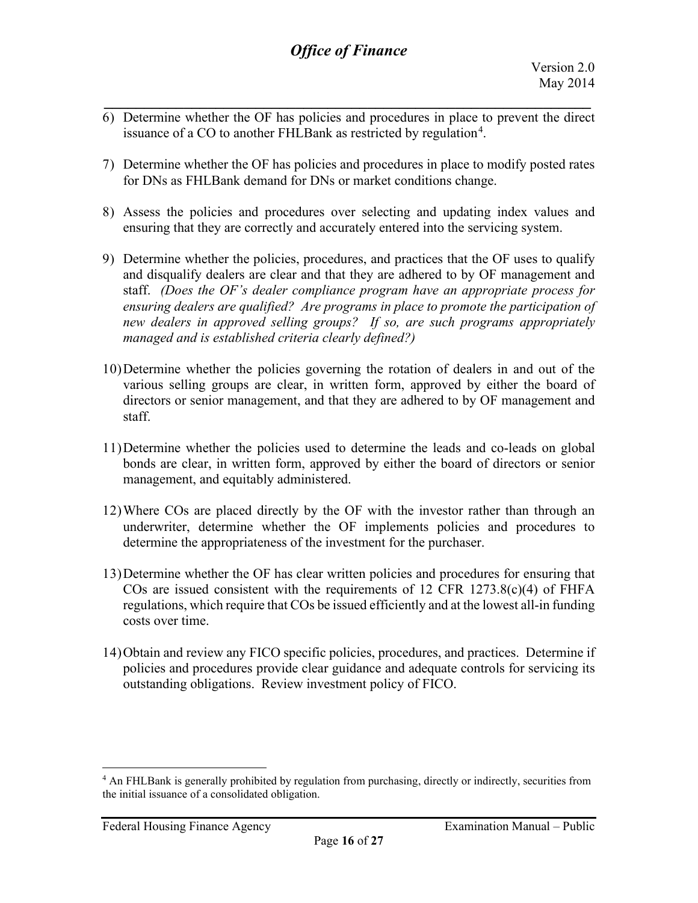- *\_\_\_\_\_\_\_\_\_\_\_\_\_\_\_\_\_\_\_\_\_\_\_\_\_\_\_\_\_\_\_\_\_\_\_\_\_\_\_\_\_\_\_\_\_\_\_\_\_\_\_\_\_\_\_\_\_\_\_\_\_* 6) Determine whether the OF has policies and procedures in place to prevent the direct issuance of a CO to another FHLBank as restricted by regulation<sup>[4](#page-15-0)</sup>.
- 7) Determine whether the OF has policies and procedures in place to modify posted rates for DNs as FHLBank demand for DNs or market conditions change.
- 8) Assess the policies and procedures over selecting and updating index values and ensuring that they are correctly and accurately entered into the servicing system.
- 9) Determine whether the policies, procedures, and practices that the OF uses to qualify and disqualify dealers are clear and that they are adhered to by OF management and staff. *(Does the OF's dealer compliance program have an appropriate process for ensuring dealers are qualified? Are programs in place to promote the participation of new dealers in approved selling groups? If so, are such programs appropriately managed and is established criteria clearly defined?)*
- 10)Determine whether the policies governing the rotation of dealers in and out of the various selling groups are clear, in written form, approved by either the board of directors or senior management, and that they are adhered to by OF management and staff.
- 11)Determine whether the policies used to determine the leads and co-leads on global bonds are clear, in written form, approved by either the board of directors or senior management, and equitably administered.
- 12)Where COs are placed directly by the OF with the investor rather than through an underwriter, determine whether the OF implements policies and procedures to determine the appropriateness of the investment for the purchaser.
- 13)Determine whether the OF has clear written policies and procedures for ensuring that COs are issued consistent with the requirements of 12 CFR  $1273.8(c)(4)$  of FHFA regulations, which require that COs be issued efficiently and at the lowest all-in funding costs over time.
- 14)Obtain and review any FICO specific policies, procedures, and practices. Determine if policies and procedures provide clear guidance and adequate controls for servicing its outstanding obligations. Review investment policy of FICO.

<span id="page-15-0"></span><sup>&</sup>lt;sup>4</sup> An FHLBank is generally prohibited by regulation from purchasing, directly or indirectly, securities from the initial issuance of a consolidated obligation.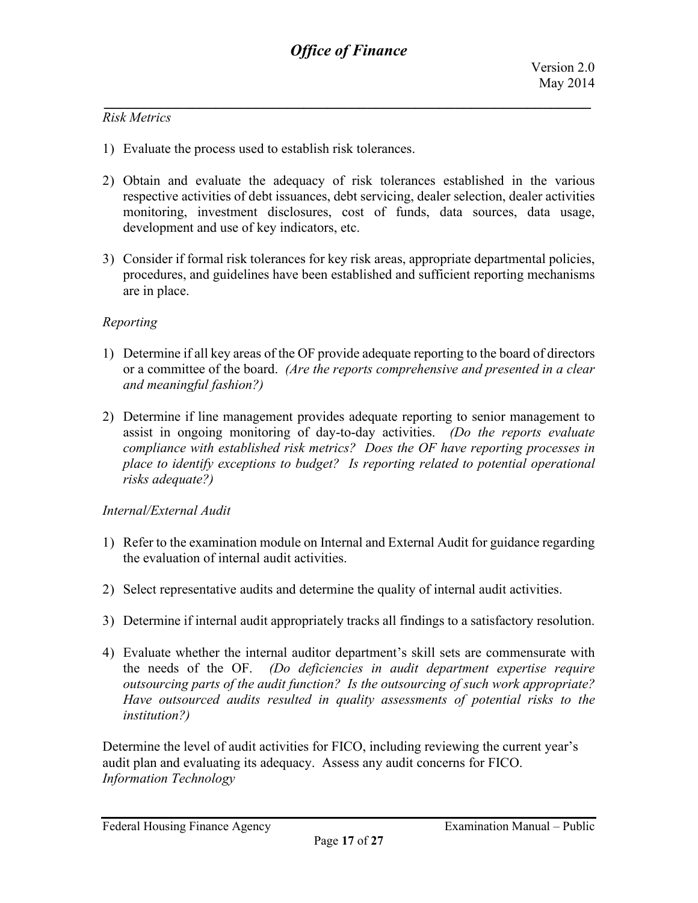#### *Risk Metrics*

- 1) Evaluate the process used to establish risk tolerances.
- 2) Obtain and evaluate the adequacy of risk tolerances established in the various respective activities of debt issuances, debt servicing, dealer selection, dealer activities monitoring, investment disclosures, cost of funds, data sources, data usage, development and use of key indicators, etc.
- 3) Consider if formal risk tolerances for key risk areas, appropriate departmental policies, procedures, and guidelines have been established and sufficient reporting mechanisms are in place.

#### *Reporting*

- 1) Determine if all key areas of the OF provide adequate reporting to the board of directors or a committee of the board. *(Are the reports comprehensive and presented in a clear and meaningful fashion?)*
- 2) Determine if line management provides adequate reporting to senior management to assist in ongoing monitoring of day-to-day activities. *(Do the reports evaluate compliance with established risk metrics? Does the OF have reporting processes in place to identify exceptions to budget? Is reporting related to potential operational risks adequate?)*

#### *Internal/External Audit*

- 1) Refer to the examination module on Internal and External Audit for guidance regarding the evaluation of internal audit activities.
- 2) Select representative audits and determine the quality of internal audit activities.
- 3) Determine if internal audit appropriately tracks all findings to a satisfactory resolution.
- 4) Evaluate whether the internal auditor department's skill sets are commensurate with the needs of the OF. *(Do deficiencies in audit department expertise require outsourcing parts of the audit function? Is the outsourcing of such work appropriate? Have outsourced audits resulted in quality assessments of potential risks to the institution?)*

Determine the level of audit activities for FICO, including reviewing the current year's audit plan and evaluating its adequacy. Assess any audit concerns for FICO. *Information Technology*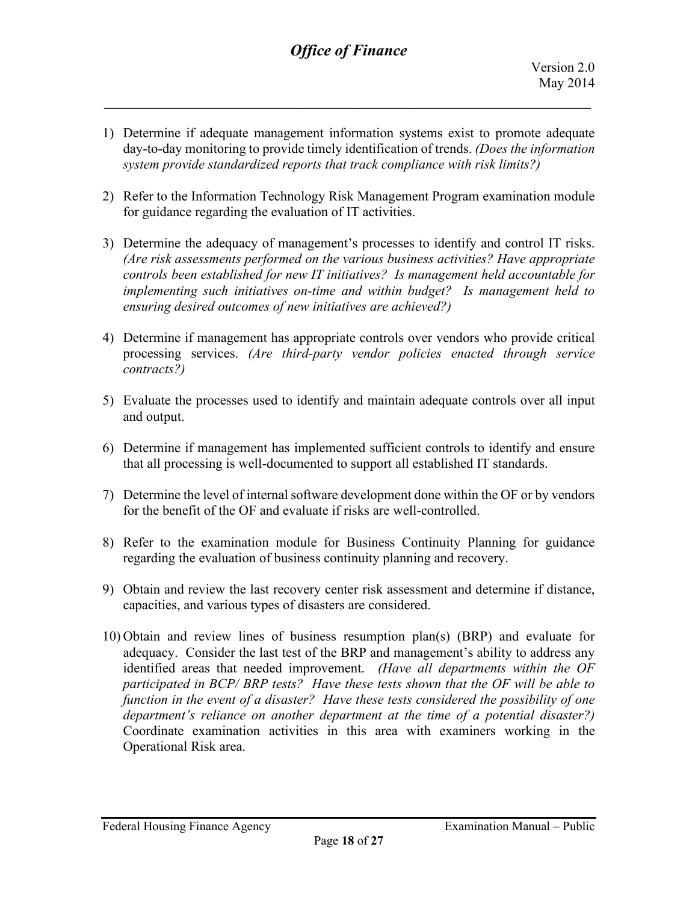1) Determine if adequate management information systems exist to promote adequate day-to-day monitoring to provide timely identification of trends. *(Does the information system provide standardized reports that track compliance with risk limits?)*

*\_\_\_\_\_\_\_\_\_\_\_\_\_\_\_\_\_\_\_\_\_\_\_\_\_\_\_\_\_\_\_\_\_\_\_\_\_\_\_\_\_\_\_\_\_\_\_\_\_\_\_\_\_\_\_\_\_\_\_\_\_*

- 2) Refer to the Information Technology Risk Management Program examination module for guidance regarding the evaluation of IT activities.
- 3) Determine the adequacy of management's processes to identify and control IT risks. *(Are risk assessments performed on the various business activities? Have appropriate controls been established for new IT initiatives? Is management held accountable for implementing such initiatives on-time and within budget? Is management held to ensuring desired outcomes of new initiatives are achieved?)*
- 4) Determine if management has appropriate controls over vendors who provide critical processing services. *(Are third-party vendor policies enacted through service contracts?)*
- 5) Evaluate the processes used to identify and maintain adequate controls over all input and output.
- 6) Determine if management has implemented sufficient controls to identify and ensure that all processing is well-documented to support all established IT standards.
- 7) Determine the level of internal software development done within the OF or by vendors for the benefit of the OF and evaluate if risks are well-controlled.
- 8) Refer to the examination module for Business Continuity Planning for guidance regarding the evaluation of business continuity planning and recovery.
- 9) Obtain and review the last recovery center risk assessment and determine if distance, capacities, and various types of disasters are considered.
- 10) Obtain and review lines of business resumption plan(s) (BRP) and evaluate for adequacy. Consider the last test of the BRP and management's ability to address any identified areas that needed improvement. *(Have all departments within the OF participated in BCP/ BRP tests? Have these tests shown that the OF will be able to function in the event of a disaster? Have these tests considered the possibility of one department's reliance on another department at the time of a potential disaster?)* Coordinate examination activities in this area with examiners working in the Operational Risk area.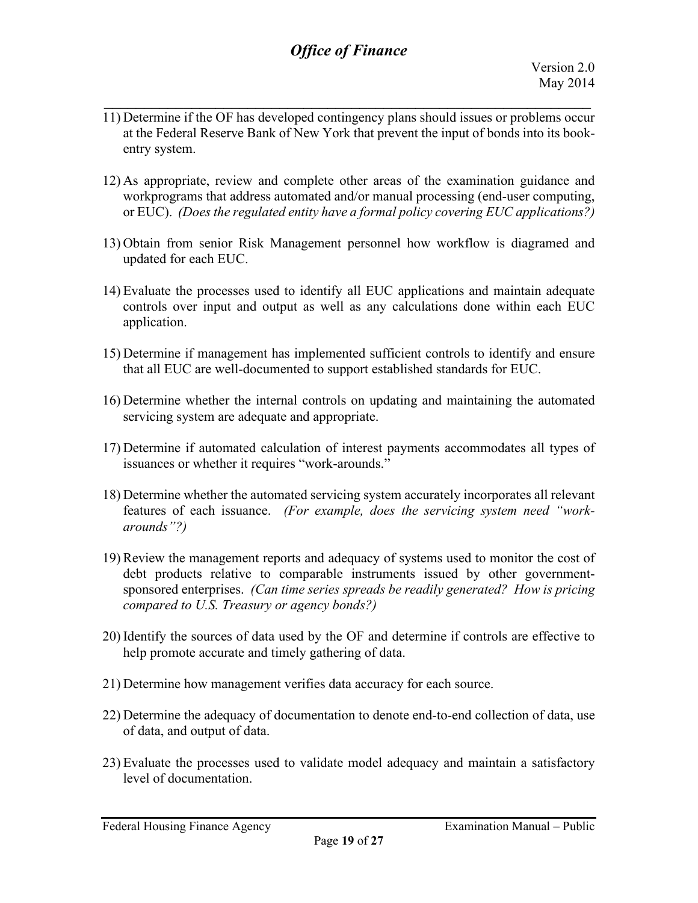11) Determine if the OF has developed contingency plans should issues or problems occur at the Federal Reserve Bank of New York that prevent the input of bonds into its bookentry system.

*\_\_\_\_\_\_\_\_\_\_\_\_\_\_\_\_\_\_\_\_\_\_\_\_\_\_\_\_\_\_\_\_\_\_\_\_\_\_\_\_\_\_\_\_\_\_\_\_\_\_\_\_\_\_\_\_\_\_\_\_\_*

- 12) As appropriate, review and complete other areas of the examination guidance and workprograms that address automated and/or manual processing (end-user computing, or EUC). *(Does the regulated entity have a formal policy covering EUC applications?)*
- 13) Obtain from senior Risk Management personnel how workflow is diagramed and updated for each EUC.
- 14) Evaluate the processes used to identify all EUC applications and maintain adequate controls over input and output as well as any calculations done within each EUC application.
- 15) Determine if management has implemented sufficient controls to identify and ensure that all EUC are well-documented to support established standards for EUC.
- 16) Determine whether the internal controls on updating and maintaining the automated servicing system are adequate and appropriate.
- 17) Determine if automated calculation of interest payments accommodates all types of issuances or whether it requires "work-arounds."
- 18) Determine whether the automated servicing system accurately incorporates all relevant features of each issuance. *(For example, does the servicing system need "workarounds"?)*
- 19) Review the management reports and adequacy of systems used to monitor the cost of debt products relative to comparable instruments issued by other governmentsponsored enterprises. *(Can time series spreads be readily generated? How is pricing compared to U.S. Treasury or agency bonds?)*
- 20) Identify the sources of data used by the OF and determine if controls are effective to help promote accurate and timely gathering of data.
- 21) Determine how management verifies data accuracy for each source.
- 22) Determine the adequacy of documentation to denote end-to-end collection of data, use of data, and output of data.
- 23) Evaluate the processes used to validate model adequacy and maintain a satisfactory level of documentation.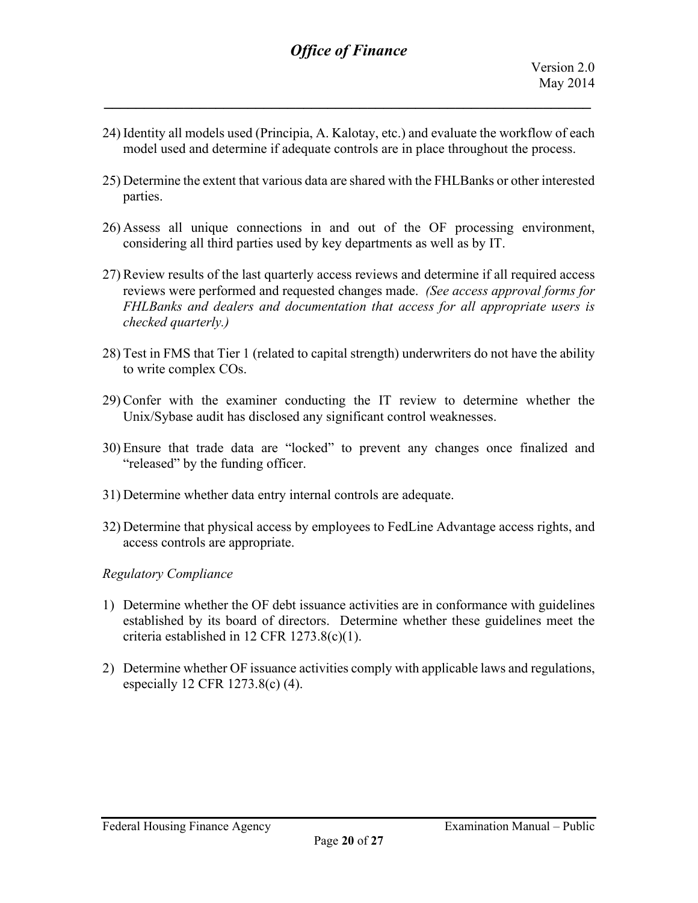24) Identity all models used (Principia, A. Kalotay, etc.) and evaluate the workflow of each model used and determine if adequate controls are in place throughout the process.

*\_\_\_\_\_\_\_\_\_\_\_\_\_\_\_\_\_\_\_\_\_\_\_\_\_\_\_\_\_\_\_\_\_\_\_\_\_\_\_\_\_\_\_\_\_\_\_\_\_\_\_\_\_\_\_\_\_\_\_\_\_*

- 25) Determine the extent that various data are shared with the FHLBanks or other interested parties.
- 26) Assess all unique connections in and out of the OF processing environment, considering all third parties used by key departments as well as by IT.
- 27) Review results of the last quarterly access reviews and determine if all required access reviews were performed and requested changes made. *(See access approval forms for FHLBanks and dealers and documentation that access for all appropriate users is checked quarterly.)*
- 28) Test in FMS that Tier 1 (related to capital strength) underwriters do not have the ability to write complex COs.
- 29) Confer with the examiner conducting the IT review to determine whether the Unix/Sybase audit has disclosed any significant control weaknesses.
- 30) Ensure that trade data are "locked" to prevent any changes once finalized and "released" by the funding officer.
- 31) Determine whether data entry internal controls are adequate.
- 32) Determine that physical access by employees to FedLine Advantage access rights, and access controls are appropriate.

#### *Regulatory Compliance*

- 1) Determine whether the OF debt issuance activities are in conformance with guidelines established by its board of directors. Determine whether these guidelines meet the criteria established in 12 CFR 1273.8(c)(1).
- 2) Determine whether OF issuance activities comply with applicable laws and regulations, especially 12 CFR 1273.8(c) (4).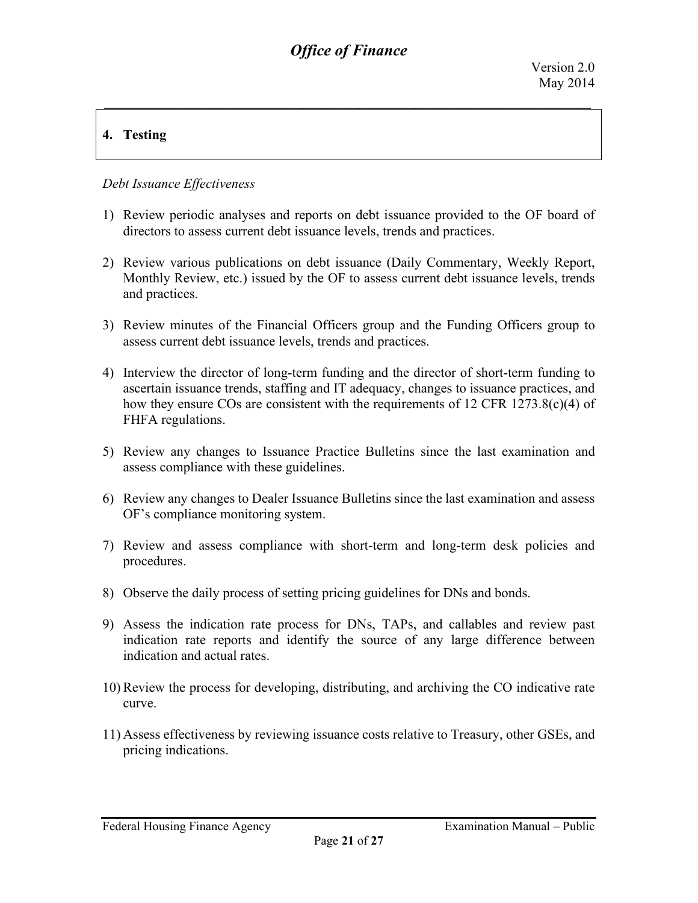## **4. Testing**

### *Debt Issuance Effectiveness*

- 1) Review periodic analyses and reports on debt issuance provided to the OF board of directors to assess current debt issuance levels, trends and practices.
- 2) Review various publications on debt issuance (Daily Commentary, Weekly Report, Monthly Review, etc.) issued by the OF to assess current debt issuance levels, trends and practices.
- 3) Review minutes of the Financial Officers group and the Funding Officers group to assess current debt issuance levels, trends and practices.
- 4) Interview the director of long-term funding and the director of short-term funding to ascertain issuance trends, staffing and IT adequacy, changes to issuance practices, and how they ensure COs are consistent with the requirements of 12 CFR 1273.8(c)(4) of FHFA regulations.
- 5) Review any changes to Issuance Practice Bulletins since the last examination and assess compliance with these guidelines.
- 6) Review any changes to Dealer Issuance Bulletins since the last examination and assess OF's compliance monitoring system.
- 7) Review and assess compliance with short-term and long-term desk policies and procedures.
- 8) Observe the daily process of setting pricing guidelines for DNs and bonds.
- 9) Assess the indication rate process for DNs, TAPs, and callables and review past indication rate reports and identify the source of any large difference between indication and actual rates.
- 10) Review the process for developing, distributing, and archiving the CO indicative rate curve.
- 11) Assess effectiveness by reviewing issuance costs relative to Treasury, other GSEs, and pricing indications.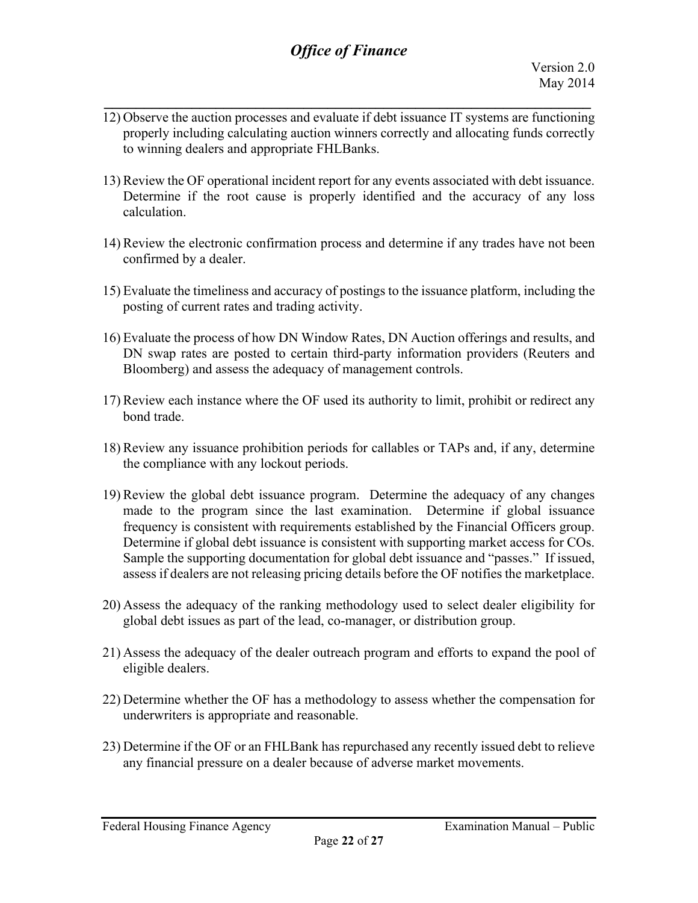12) Observe the auction processes and evaluate if debt issuance IT systems are functioning properly including calculating auction winners correctly and allocating funds correctly to winning dealers and appropriate FHLBanks.

*\_\_\_\_\_\_\_\_\_\_\_\_\_\_\_\_\_\_\_\_\_\_\_\_\_\_\_\_\_\_\_\_\_\_\_\_\_\_\_\_\_\_\_\_\_\_\_\_\_\_\_\_\_\_\_\_\_\_\_\_\_*

- 13) Review the OF operational incident report for any events associated with debt issuance. Determine if the root cause is properly identified and the accuracy of any loss calculation.
- 14) Review the electronic confirmation process and determine if any trades have not been confirmed by a dealer.
- 15) Evaluate the timeliness and accuracy of postings to the issuance platform, including the posting of current rates and trading activity.
- 16) Evaluate the process of how DN Window Rates, DN Auction offerings and results, and DN swap rates are posted to certain third-party information providers (Reuters and Bloomberg) and assess the adequacy of management controls.
- 17) Review each instance where the OF used its authority to limit, prohibit or redirect any bond trade.
- 18) Review any issuance prohibition periods for callables or TAPs and, if any, determine the compliance with any lockout periods.
- 19) Review the global debt issuance program. Determine the adequacy of any changes made to the program since the last examination. Determine if global issuance frequency is consistent with requirements established by the Financial Officers group. Determine if global debt issuance is consistent with supporting market access for COs. Sample the supporting documentation for global debt issuance and "passes." If issued, assess if dealers are not releasing pricing details before the OF notifies the marketplace.
- 20) Assess the adequacy of the ranking methodology used to select dealer eligibility for global debt issues as part of the lead, co-manager, or distribution group.
- 21) Assess the adequacy of the dealer outreach program and efforts to expand the pool of eligible dealers.
- 22) Determine whether the OF has a methodology to assess whether the compensation for underwriters is appropriate and reasonable.
- 23) Determine if the OF or an FHLBank has repurchased any recently issued debt to relieve any financial pressure on a dealer because of adverse market movements.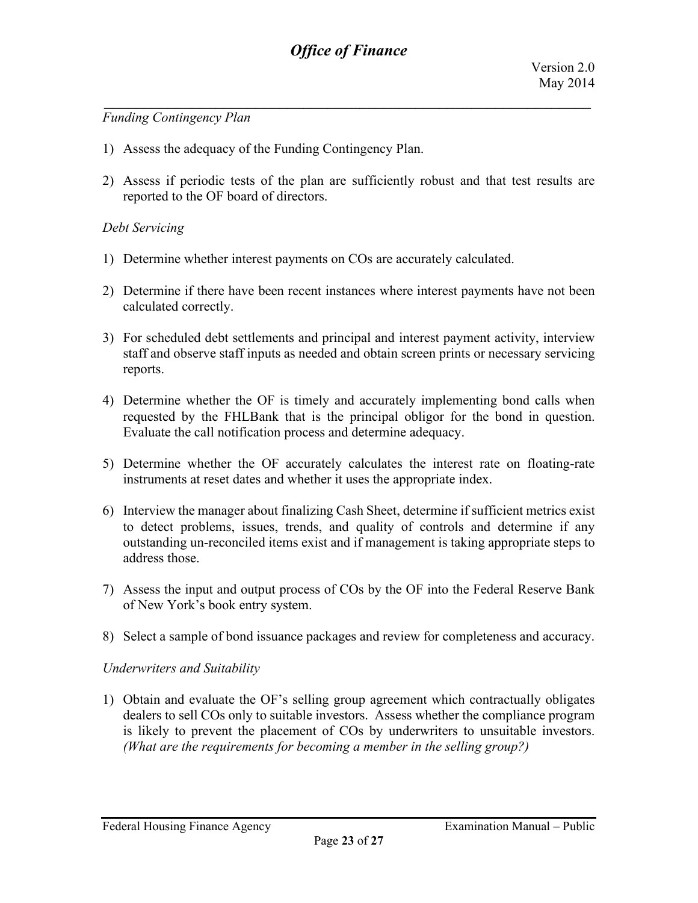#### *Funding Contingency Plan*

- 1) Assess the adequacy of the Funding Contingency Plan.
- 2) Assess if periodic tests of the plan are sufficiently robust and that test results are reported to the OF board of directors.

#### *Debt Servicing*

- 1) Determine whether interest payments on COs are accurately calculated.
- 2) Determine if there have been recent instances where interest payments have not been calculated correctly.
- 3) For scheduled debt settlements and principal and interest payment activity, interview staff and observe staff inputs as needed and obtain screen prints or necessary servicing reports.
- 4) Determine whether the OF is timely and accurately implementing bond calls when requested by the FHLBank that is the principal obligor for the bond in question. Evaluate the call notification process and determine adequacy.
- 5) Determine whether the OF accurately calculates the interest rate on floating-rate instruments at reset dates and whether it uses the appropriate index.
- 6) Interview the manager about finalizing Cash Sheet, determine if sufficient metrics exist to detect problems, issues, trends, and quality of controls and determine if any outstanding un-reconciled items exist and if management is taking appropriate steps to address those.
- 7) Assess the input and output process of COs by the OF into the Federal Reserve Bank of New York's book entry system.
- 8) Select a sample of bond issuance packages and review for completeness and accuracy.

#### *Underwriters and Suitability*

1) Obtain and evaluate the OF's selling group agreement which contractually obligates dealers to sell COs only to suitable investors. Assess whether the compliance program is likely to prevent the placement of COs by underwriters to unsuitable investors. *(What are the requirements for becoming a member in the selling group?)*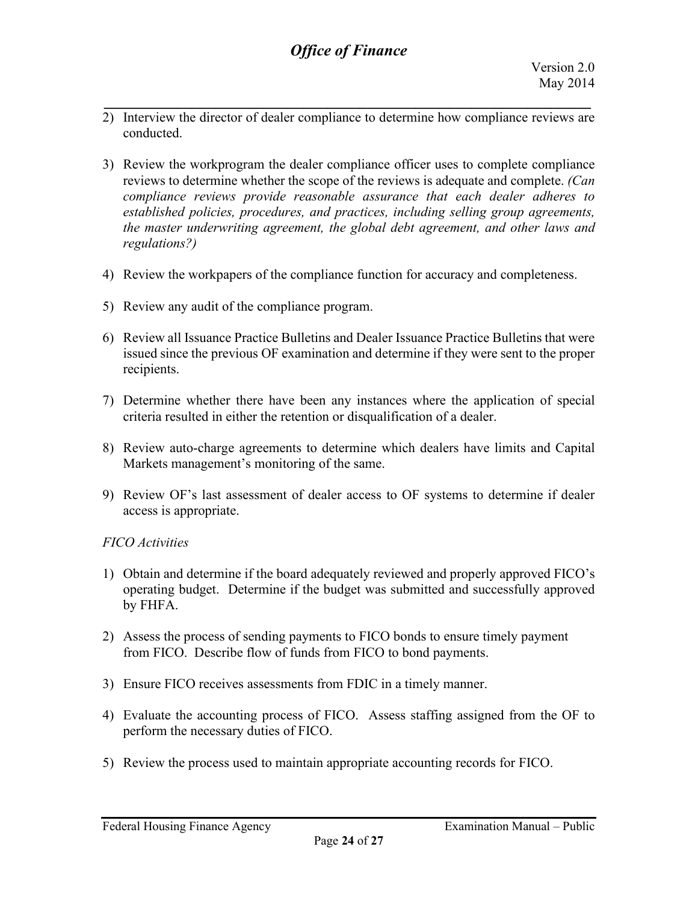- *\_\_\_\_\_\_\_\_\_\_\_\_\_\_\_\_\_\_\_\_\_\_\_\_\_\_\_\_\_\_\_\_\_\_\_\_\_\_\_\_\_\_\_\_\_\_\_\_\_\_\_\_\_\_\_\_\_\_\_\_\_* 2) Interview the director of dealer compliance to determine how compliance reviews are conducted.
- 3) Review the workprogram the dealer compliance officer uses to complete compliance reviews to determine whether the scope of the reviews is adequate and complete. *(Can compliance reviews provide reasonable assurance that each dealer adheres to established policies, procedures, and practices, including selling group agreements, the master underwriting agreement, the global debt agreement, and other laws and regulations?)*
- 4) Review the workpapers of the compliance function for accuracy and completeness.
- 5) Review any audit of the compliance program.
- 6) Review all Issuance Practice Bulletins and Dealer Issuance Practice Bulletins that were issued since the previous OF examination and determine if they were sent to the proper recipients.
- 7) Determine whether there have been any instances where the application of special criteria resulted in either the retention or disqualification of a dealer.
- 8) Review auto-charge agreements to determine which dealers have limits and Capital Markets management's monitoring of the same.
- 9) Review OF's last assessment of dealer access to OF systems to determine if dealer access is appropriate.

## *FICO Activities*

- 1) Obtain and determine if the board adequately reviewed and properly approved FICO's operating budget. Determine if the budget was submitted and successfully approved by FHFA.
- 2) Assess the process of sending payments to FICO bonds to ensure timely payment from FICO. Describe flow of funds from FICO to bond payments.
- 3) Ensure FICO receives assessments from FDIC in a timely manner.
- 4) Evaluate the accounting process of FICO. Assess staffing assigned from the OF to perform the necessary duties of FICO.
- 5) Review the process used to maintain appropriate accounting records for FICO.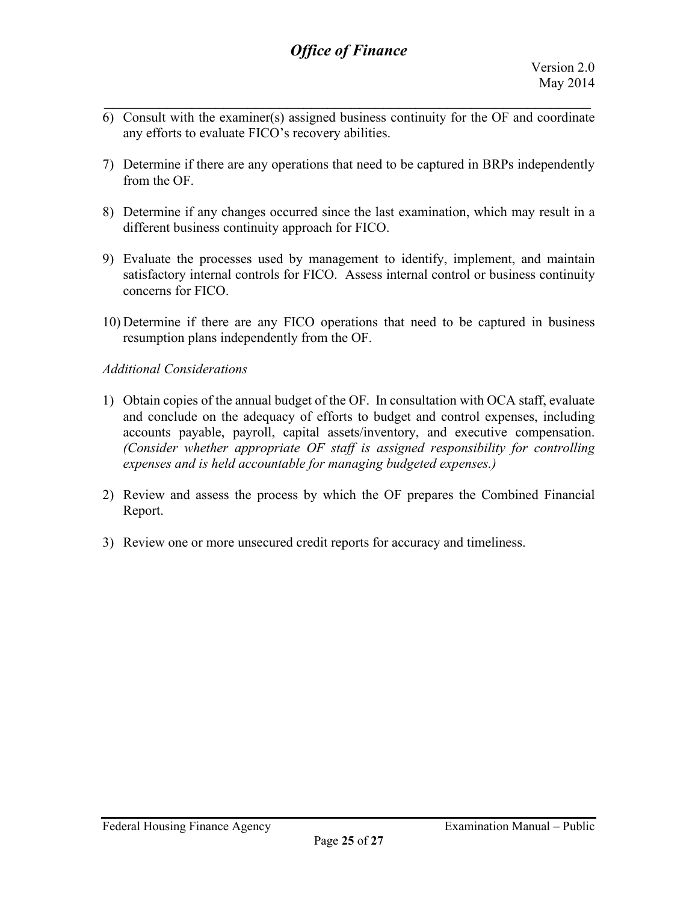- *\_\_\_\_\_\_\_\_\_\_\_\_\_\_\_\_\_\_\_\_\_\_\_\_\_\_\_\_\_\_\_\_\_\_\_\_\_\_\_\_\_\_\_\_\_\_\_\_\_\_\_\_\_\_\_\_\_\_\_\_\_* 6) Consult with the examiner(s) assigned business continuity for the OF and coordinate any efforts to evaluate FICO's recovery abilities.
- 7) Determine if there are any operations that need to be captured in BRPs independently from the OF.
- 8) Determine if any changes occurred since the last examination, which may result in a different business continuity approach for FICO.
- 9) Evaluate the processes used by management to identify, implement, and maintain satisfactory internal controls for FICO. Assess internal control or business continuity concerns for FICO.
- 10) Determine if there are any FICO operations that need to be captured in business resumption plans independently from the OF.

### *Additional Considerations*

- 1) Obtain copies of the annual budget of the OF. In consultation with OCA staff, evaluate and conclude on the adequacy of efforts to budget and control expenses, including accounts payable, payroll, capital assets/inventory, and executive compensation. *(Consider whether appropriate OF staff is assigned responsibility for controlling expenses and is held accountable for managing budgeted expenses.)*
- 2) Review and assess the process by which the OF prepares the Combined Financial Report.
- 3) Review one or more unsecured credit reports for accuracy and timeliness.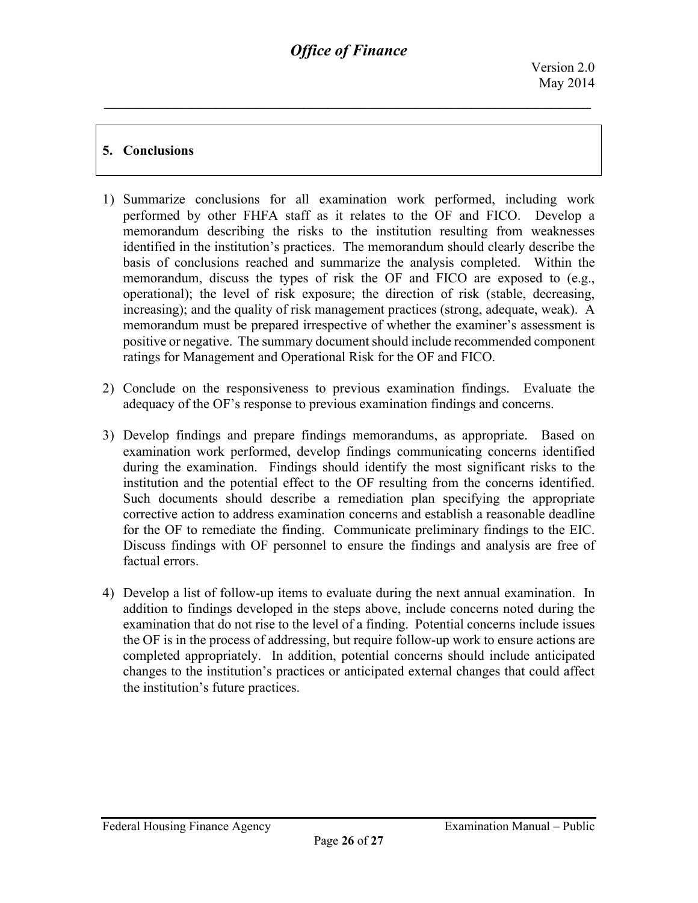## **5. Conclusions**

- 1) Summarize conclusions for all examination work performed, including work performed by other FHFA staff as it relates to the OF and FICO. Develop a memorandum describing the risks to the institution resulting from weaknesses identified in the institution's practices. The memorandum should clearly describe the basis of conclusions reached and summarize the analysis completed. Within the memorandum, discuss the types of risk the OF and FICO are exposed to (e.g., operational); the level of risk exposure; the direction of risk (stable, decreasing, increasing); and the quality of risk management practices (strong, adequate, weak). A memorandum must be prepared irrespective of whether the examiner's assessment is positive or negative. The summary document should include recommended component ratings for Management and Operational Risk for the OF and FICO.
- 2) Conclude on the responsiveness to previous examination findings. Evaluate the adequacy of the OF's response to previous examination findings and concerns.
- 3) Develop findings and prepare findings memorandums, as appropriate. Based on examination work performed, develop findings communicating concerns identified during the examination. Findings should identify the most significant risks to the institution and the potential effect to the OF resulting from the concerns identified. Such documents should describe a remediation plan specifying the appropriate corrective action to address examination concerns and establish a reasonable deadline for the OF to remediate the finding. Communicate preliminary findings to the EIC. Discuss findings with OF personnel to ensure the findings and analysis are free of factual errors.
- 4) Develop a list of follow-up items to evaluate during the next annual examination. In addition to findings developed in the steps above, include concerns noted during the examination that do not rise to the level of a finding. Potential concerns include issues the OF is in the process of addressing, but require follow-up work to ensure actions are completed appropriately. In addition, potential concerns should include anticipated changes to the institution's practices or anticipated external changes that could affect the institution's future practices.